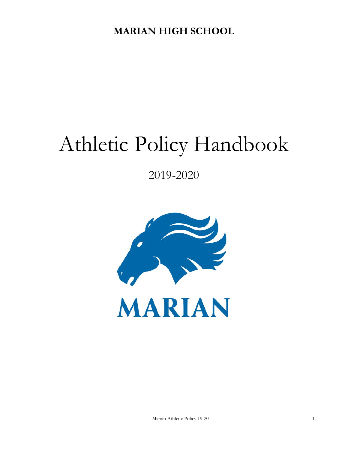**MARIAN HIGH SCHOOL**

# Athletic Policy Handbook

2019-2020

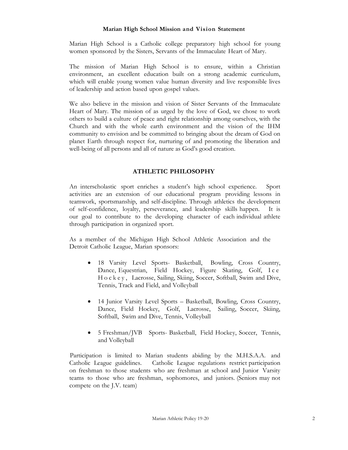#### **Marian High School Mission and Vision Statement**

Marian High School is a Catholic college preparatory high school for young women sponsored by the Sisters, Servants of the Immaculate Heart of Mary.

The mission of Marian High School is to ensure, within a Christian environment, an excellent education built on a strong academic curriculum, which will enable young women value human diversity and live responsible lives of leadership and action based upon gospel values.

We also believe in the mission and vision of Sister Servants of the Immaculate Heart of Mary. The mission of as urged by the love of God, we chose to work others to build a culture of peace and right relationship among ourselves, with the Church and with the whole earth environment and the vision of the IHM community to envision and be committed to bringing about the dream of God on planet Earth through respect for, nurturing of and promoting the liberation and well-being of all persons and all of nature as God's good creation.

# **ATHLETIC PHILOSOPHY**

An interscholastic sport enriches a student's high school experience. Sport activities are an extension of our educational program providing lessons in teamwork, sportsmanship, and self-discipline. Through athletics the development of self-confidence, loyalty, perseverance, and leadership skills happen. It is our goal to contribute to the developing character of each individual athlete through participation in organized sport.

As a member of the Michigan High School Athletic Association and the Detroit Catholic League, Marian sponsors:

- 18 Varsity Level Sports- Basketball, Bowling, Cross Country, Dance, Equestrian, Field Hockey, Figure Skating, Golf, Ice Hockey, Lacrosse, Sailing, Skiing, Soccer, Softball, Swim and Dive, Tennis, Track and Field, and Volleyball
- 14 Junior Varsity Level Sports Basketball, Bowling, Cross Country, Dance, Field Hockey, Golf, Lacrosse, Sailing, Soccer, Skiing, Softball, Swim and Dive, Tennis, Volleyball
- 5 Freshman/JVB Sports- Basketball, Field Hockey, Soccer, Tennis, and Volleyball

Participation is limited to Marian students abiding by the M.H.S.A.A. and Catholic League guidelines. Catholic League regulations restrict participation on freshman to those students who are freshman at school and Junior Varsity teams to those who are freshman, sophomores, and juniors. (Seniors may not compete on the J.V. team)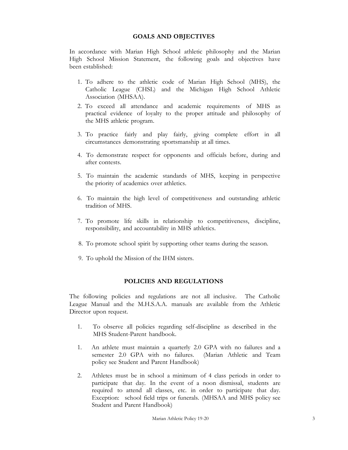## **GOALS AND OBJECTIVES**

In accordance with Marian High School athletic philosophy and the Marian High School Mission Statement, the following goals and objectives have been established:

- 1. To adhere to the athletic code of Marian High School (MHS), the Catholic League (CHSL) and the Michigan High School Athletic Association (MHSAA).
- 2. To exceed all attendance and academic requirements of MHS as practical evidence of loyalty to the proper attitude and philosophy of the MHS athletic program.
- 3. To practice fairly and play fairly, giving complete effort in all circumstances demonstrating sportsmanship at all times.
- 4. To demonstrate respect for opponents and officials before, during and after contests.
- 5. To maintain the academic standards of MHS, keeping in perspective the priority of academics over athletics.
- 6. To maintain the high level of competitiveness and outstanding athletic tradition of MHS.
- 7. To promote life skills in relationship to competitiveness, discipline, responsibility, and accountability in MHS athletics.
- 8. To promote school spirit by supporting other teams during the season.
- 9. To uphold the Mission of the IHM sisters.

# **POLICIES AND REGULATIONS**

The following policies and regulations are not all inclusive. The Catholic League Manual and the M.H.S.A.A. manuals are available from the Athletic Director upon request.

- 1. To observe all policies regarding self-discipline as described in the MHS Student-Parent handbook.
- 1. An athlete must maintain a quarterly 2.0 GPA with no failures and a semester 2.0 GPA with no failures. (Marian Athletic and Team policy see Student and Parent Handbook)
- 2. Athletes must be in school a minimum of 4 class periods in order to participate that day. In the event of a noon dismissal, students are required to attend all classes, etc. in order to participate that day. Exception: school field trips or funerals. (MHSAA and MHS policy see Student and Parent Handbook)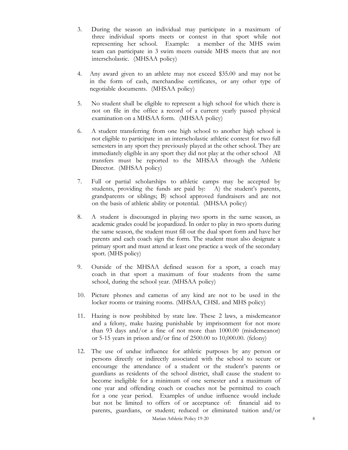- 3. During the season an individual may participate in a maximum of three individual sports meets or contest in that sport while not representing her school. Example: a member of the MHS swim team can participate in 3 swim meets outside MHS meets that are not interscholastic. (MHSAA policy)
- 4. Any award given to an athlete may not exceed \$35.00 and may not be in the form of cash, merchandise certificates, or any other type of negotiable documents. (MHSAA policy)
- 5. No student shall be eligible to represent a high school for which there is not on file in the office a record of a current yearly passed physical examination on a MHSAA form. (MHSAA policy)
- 6. A student transferring from one high school to another high school is not eligible to participate in an interscholastic athletic contest for two full semesters in any sport they previously played at the other school. They are immediately eligible in any sport they did not play at the other school All transfers must be reported to the MHSAA through the Athletic Director. (MHSAA policy)
- 7. Full or partial scholarships to athletic camps may be accepted by students, providing the funds are paid by: A) the student's parents, grandparents or siblings; B) school approved fundraisers and are not on the basis of athletic ability or potential. (MHSAA policy)
- 8. A student is discouraged in playing two sports in the same season, as academic grades could be jeopardized. In order to play in two sports during the same season, the student must fill out the dual sport form and have her parents and each coach sign the form. The student must also designate a primary sport and must attend at least one practice a week of the secondary sport. (MHS policy)
- 9. Outside of the MHSAA defined season for a sport, a coach may coach in that sport a maximum of four students from the same school, during the school year. (MHSAA policy)
- 10. Picture phones and cameras of any kind are not to be used in the locker rooms or training rooms. (MHSAA, CHSL and MHS policy)
- 11. Hazing is now prohibited by state law. These 2 laws, a misdemeanor and a felony, make hazing punishable by imprisonment for not more than 93 days and/or a fine of not more than 1000.00 (misdemeanor) or 5-15 years in prison and/or fine of 2500.00 to 10,000.00. (felony)
- Marian Athletic Policy 19-20 4 12. The use of undue influence for athletic purposes by any person or persons directly or indirectly associated with the school to secure or encourage the attendance of a student or the student's parents or guardians as residents of the school district, shall cause the student to become ineligible for a minimum of one semester and a maximum of one year and offending coach or coaches not be permitted to coach for a one year period. Examples of undue influence would include but not be limited to offers of or acceptance of: financial aid to parents, guardians, or student; reduced or eliminated tuition and/or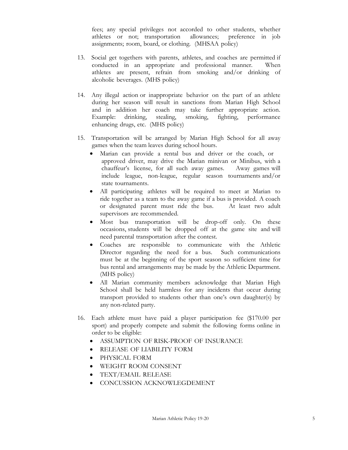fees; any special privileges not accorded to other students, whether athletes or not; transportation allowances; preference in job assignments; room, board, or clothing. (MHSAA policy)

- 13. Social get togethers with parents, athletes, and coaches are permitted if conducted in an appropriate and professional manner. When athletes are present, refrain from smoking and/or drinking of alcoholic beverages. (MHS policy)
- 14. Any illegal action or inappropriate behavior on the part of an athlete during her season will result in sanctions from Marian High School and in addition her coach may take further appropriate action. Example: drinking, stealing, smoking, fighting, performance enhancing drugs, etc. (MHS policy)
- 15. Transportation will be arranged by Marian High School for all away games when the team leaves during school hours.
	- Marian can provide a rental bus and driver or the coach, or approved driver, may drive the Marian minivan or Minibus, with a chauffeur's license, for all such away games. Away games will include league, non-league, regular season tournaments and/or state tournaments.
	- All participating athletes will be required to meet at Marian to ride together as a team to the away game if a bus is provided. A coach or designated parent must ride the bus. At least two adult supervisors are recommended.
	- Most bus transportation will be drop-off only. On these occasions, students will be dropped off at the game site and will need parental transportation after the contest.
	- Coaches are responsible to communicate with the Athletic Director regarding the need for a bus. Such communications must be at the beginning of the sport season so sufficient time for bus rental and arrangements may be made by the Athletic Department. (MHS policy)
	- All Marian community members acknowledge that Marian High School shall be held harmless for any incidents that occur during transport provided to students other than one's own daughter(s) by any non-related party.
- 16. Each athlete must have paid a player participation fee (\$170.00 per sport) and properly compete and submit the following forms online in order to be eligible:
	- ASSUMPTION OF RISK-PROOF OF INSURANCE
	- RELEASE OF LIABILITY FORM
	- PHYSICAL FORM
	- WEIGHT ROOM CONSENT
	- TEXT/EMAIL RELEASE
	- CONCUSSION ACKNOWLEGDEMENT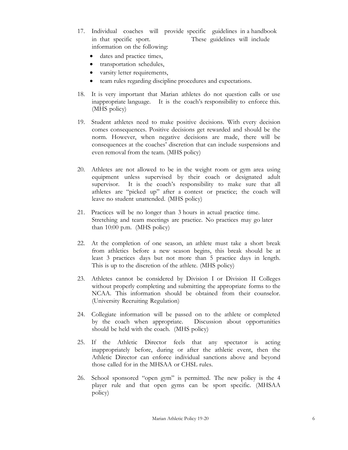- 17. Individual coaches will provide specific guidelines in a handbook in that specific sport. These guidelines will include information on the following:
	- dates and practice times,
	- transportation schedules,
	- varsity letter requirements,
	- team rules regarding discipline procedures and expectations.
- 18. It is very important that Marian athletes do not question calls or use inappropriate language. It is the coach's responsibility to enforce this. (MHS policy)
- 19. Student athletes need to make positive decisions. With every decision comes consequences. Positive decisions get rewarded and should be the norm. However, when negative decisions are made, there will be consequences at the coaches' discretion that can include suspensions and even removal from the team. (MHS policy)
- 20. Athletes are not allowed to be in the weight room or gym area using equipment unless supervised by their coach or designated adult supervisor. It is the coach's responsibility to make sure that all athletes are "picked up" after a contest or practice; the coach will leave no student unattended. (MHS policy)
- 21. Practices will be no longer than 3 hours in actual practice time. Stretching and team meetings are practice. No practices may go later than 10:00 p.m. (MHS policy)
- 22. At the completion of one season, an athlete must take a short break from athletics before a new season begins, this break should be at least 3 practices days but not more than 5 practice days in length. This is up to the discretion of the athlete. (MHS policy)
- 23. Athletes cannot be considered by Division I or Division II Colleges without properly completing and submitting the appropriate forms to the NCAA. This information should be obtained from their counselor. (University Recruiting Regulation)
- 24. Collegiate information will be passed on to the athlete or completed by the coach when appropriate. Discussion about opportunities should be held with the coach. (MHS policy)
- 25. If the Athletic Director feels that any spectator is acting inappropriately before, during or after the athletic event, then the Athletic Director can enforce individual sanctions above and beyond those called for in the MHSAA or CHSL rules.
- 26. School sponsored "open gym" is permitted. The new policy is the 4 player rule and that open gyms can be sport specific. (MHSAA policy)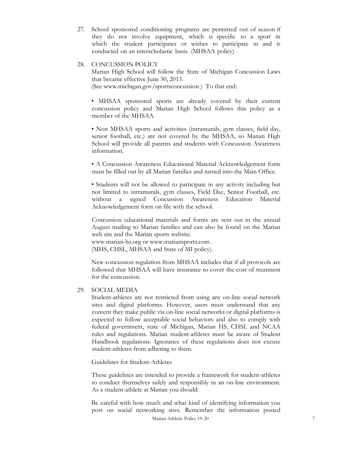27. School sponsored conditioning programs are permitted out of season if they do not involve equipment, which is specific to a sport in which the student participates or wishes to participate in and is conducted on an interscholastic basis. (MHSAA policy)

## 28. CONCUSSION POLICY

Marian High School will follow the State of Michigan Concussion Laws that became effective June 30, 2013. (See www.michigan.gov/sportsconcussion ) To that end:

• MHSAA sponsored sports are already covered by their current concussion policy and Marian High School follows this policy as a member of the MHSAA.

• Non MHSAA sports and activities (intramurals, gym classes, field day, senior football, etc.) are not covered by the MHSAA, so Marian High School will provide all parents and students with Concussion Awareness information.

• A Concussion Awareness Educational Material Acknowledgement form must be filled out by all Marian families and turned into the Main Office.

• Students will not be allowed to participate in any activity including but not limited to intramurals, gym classes, Field Day, Senior Football, etc. without a signed Concussion Awareness Education Material Acknowledgement form on file with the school.

Concussion educational materials and forms are sent out in the annual August mailing to Marian families and can also be found on the Marian web site and the Marian sports website.

www.marian-hs.org or www.mariansports.com . (MHS, CHSL, MHSAA and State of MI policy).

New concussion regulation from MHSAA includes that if all protocols are followed that MHSAA will have insurance to cover the cost of treatment for the concussion.

#### 29. SOCIAL MEDIA

Student-athletes are not restricted from using any on-line social network sites and digital platforms. However, users must understand that any content they make public via on-line social networks or digital platforms is expected to follow acceptable social behaviors and also to comply with federal government, state of Michigan, Marian HS, CHSL and NCAA rules and regulations. Marian student-athletes must be aware of Student Handbook regulations. Ignorance of these regulations does not excuse student-athletes from adhering to them.

Guidelines for Student-Athletes

These guidelines are intended to provide a framework for student-athletes to conduct themselves safely and responsibly in an on-line environment. As a student-athlete at Marian you should:

Marian Athletic Policy 19-20 7 Be careful with how much and what kind of identifying information you post on social networking sites. Remember the information posted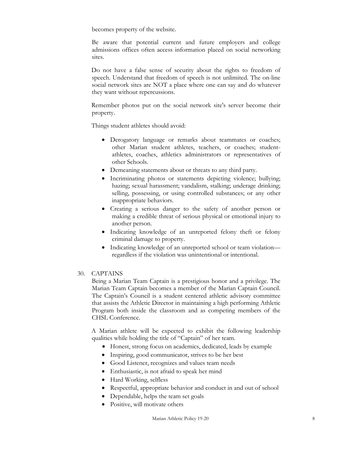becomes property of the website.

Be aware that potential current and future employers and college admissions offices often access information placed on social networking sites.

Do not have a false sense of security about the rights to freedom of speech. Understand that freedom of speech is not unlimited. The on-line social network sites are NOT a place where one can say and do whatever they want without repercussions.

Remember photos put on the social network site's server become their property.

Things student athletes should avoid:

- Derogatory language or remarks about teammates or coaches; other Marian student athletes, teachers, or coaches; studentathletes, coaches, athletics administrators or representatives of other Schools.
- Demeaning statements about or threats to any third party.
- Incriminating photos or statements depicting violence; bullying; hazing; sexual harassment; vandalism, stalking; underage drinking; selling, possessing, or using controlled substances; or any other inappropriate behaviors.
- Creating a serious danger to the safety of another person or making a credible threat of serious physical or emotional injury to another person.
- Indicating knowledge of an unreported felony theft or felony criminal damage to property.
- Indicating knowledge of an unreported school or team violation regardless if the violation was unintentional or intentional.

# 30. CAPTAINS

Being a Marian Team Captain is a prestigious honor and a privilege. The Marian Team Captain becomes a member of the Marian Captain Council. The Captain's Council is a student centered athletic advisory committee that assists the Athletic Director in maintaining a high performing Athletic Program both inside the classroom and as competing members of the CHSL Conference.

A Marian athlete will be expected to exhibit the following leadership qualities while holding the title of "Captain" of her team.

- Honest, strong focus on academics, dedicated, leads by example
- Inspiring, good communicator, strives to be her best
- Good Listener, recognizes and values team needs
- Enthusiastic, is not afraid to speak her mind
- Hard Working, selfless
- Respectful, appropriate behavior and conduct in and out of school
- Dependable, helps the team set goals
- Positive, will motivate others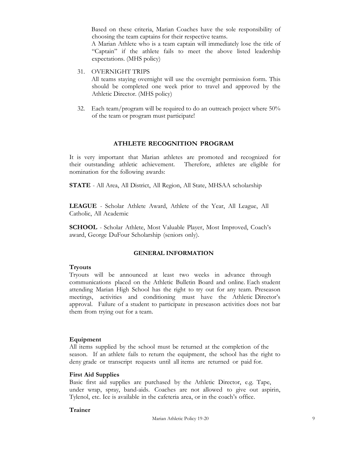Based on these criteria, Marian Coaches have the sole responsibility of choosing the team captains for their respective teams.

A Marian Athlete who is a team captain will immediately lose the title of "Captain" if the athlete fails to meet the above listed leadership expectations. (MHS policy)

31. OVERNIGHT TRIPS

All teams staying overnight will use the overnight permission form. This should be completed one week prior to travel and approved by the Athletic Director. (MHS policy)

32. Each team/program will be required to do an outreach project where 50% of the team or program must participate!

# **ATHLETE RECOGNITION PROGRAM**

It is very important that Marian athletes are promoted and recognized for their outstanding athletic achievement. Therefore, athletes are eligible for nomination for the following awards:

**STATE** - All Area, All District, All Region, All State, MHSAA scholarship

**LEAGUE** - Scholar Athlete Award, Athlete of the Year, All League, All Catholic, All Academic

**SCHOOL** - Scholar Athlete, Most Valuable Player, Most Improved, Coach's award, George DuFour Scholarship (seniors only).

## **GENERAL INFORMATION**

## **Tryouts**

Tryouts will be announced at least two weeks in advance through communications placed on the Athletic Bulletin Board and online. Each student attending Marian High School has the right to try out for any team. Preseason meetings, activities and conditioning must have the Athletic Director's approval. Failure of a student to participate in preseason activities does not bar them from trying out for a team.

#### **Equipment**

All items supplied by the school must be returned at the completion of the season. If an athlete fails to return the equipment, the school has the right to deny grade or transcript requests until all items are returned or paid for.

## **First Aid Supplies**

Basic first aid supplies are purchased by the Athletic Director, e.g. Tape, under wrap, spray, band-aids. Coaches are not allowed to give out aspirin, Tylenol, etc. Ice is available in the cafeteria area, or in the coach's office.

## **Trainer**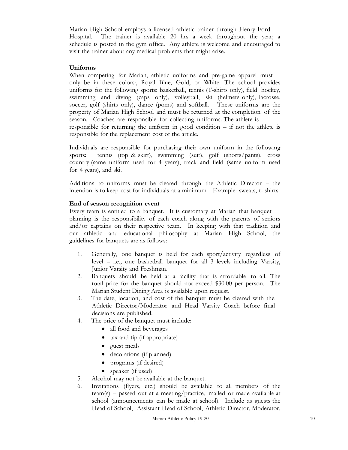Marian High School employs a licensed athletic trainer through Henry Ford Hospital. The trainer is available 20 hrs a week throughout the year; a schedule is posted in the gym office. Any athlete is welcome and encouraged to visit the trainer about any medical problems that might arise.

## **Uniforms**

When competing for Marian, athletic uniforms and pre-game apparel must only be in these colors:, Royal Blue, Gold, or White. The school provides uniforms for the following sports: basketball, tennis (T-shirts only), field hockey, swimming and diving (caps only), volleyball, ski (helmets only), lacrosse, soccer, golf (shirts only), dance (poms) and softball. These uniforms are the property of Marian High School and must be returned at the completion of the season. Coaches are responsible for collecting uniforms. The athlete is

responsible for returning the uniform in good condition – if not the athlete is responsible for the replacement cost of the article.

Individuals are responsible for purchasing their own uniform in the following sports: tennis (top & skirt), swimming (suit), golf (shorts/pants), cross country (same uniform used for 4 years), track and field (same uniform used for 4 years), and ski.

Additions to uniforms must be cleared through the Athletic Director – the intention is to keep cost for individuals at a minimum. Example: sweats, t- shirts.

# **End of season recognition event**

Every team is entitled to a banquet. It is customary at Marian that banquet planning is the responsibility of each coach along with the parents of seniors and/or captains on their respective team. In keeping with that tradition and our athletic and educational philosophy at Marian High School, the guidelines for banquets are as follows:

- 1. Generally, one banquet is held for each sport/activity regardless of level – i.e., one basketball banquet for all 3 levels including Varsity, Junior Varsity and Freshman.
- 2. Banquets should be held at a facility that is affordable to all. The total price for the banquet should not exceed \$30.00 per person. The Marian Student Dining Area is available upon request.
- 3. The date, location, and cost of the banquet must be cleared with the Athletic Director/Moderator and Head Varsity Coach before final decisions are published.
- 4. The price of the banquet must include:
	- all food and beverages
	- tax and tip (if appropriate)
	- guest meals
	- decorations (if planned)
	- programs (if desired)
	- speaker (if used)
- 5. Alcohol may not be available at the banquet.
- 6. Invitations (flyers, etc.) should be available to all members of the team(s) – passed out at a meeting/practice, mailed or made available at school (announcements can be made at school). Include as guests the Head of School, Assistant Head of School, Athletic Director, Moderator,